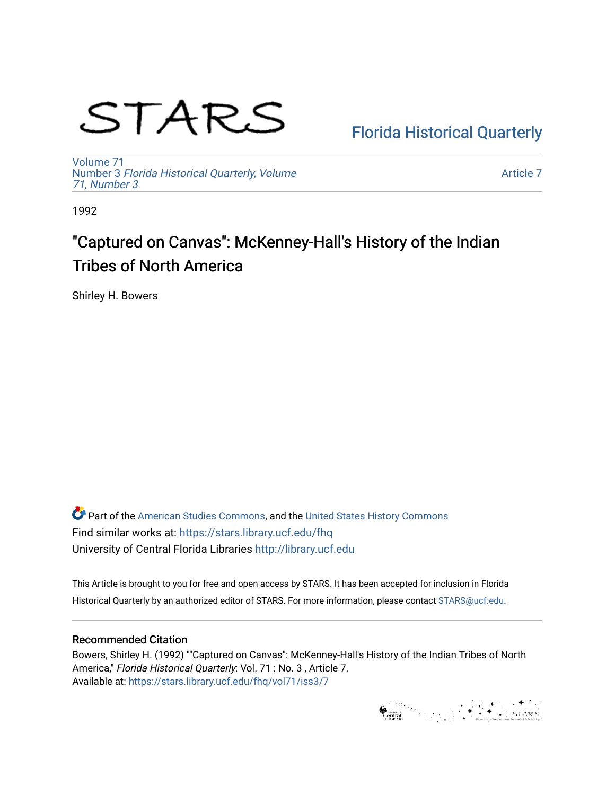# STARS

### [Florida Historical Quarterly](https://stars.library.ucf.edu/fhq)

[Volume 71](https://stars.library.ucf.edu/fhq/vol71) Number 3 [Florida Historical Quarterly, Volume](https://stars.library.ucf.edu/fhq/vol71/iss3)  [71, Number 3](https://stars.library.ucf.edu/fhq/vol71/iss3)

[Article 7](https://stars.library.ucf.edu/fhq/vol71/iss3/7) 

1992

## "Captured on Canvas": McKenney-Hall's History of the Indian Tribes of North America

Shirley H. Bowers

**C** Part of the [American Studies Commons](http://network.bepress.com/hgg/discipline/439?utm_source=stars.library.ucf.edu%2Ffhq%2Fvol71%2Fiss3%2F7&utm_medium=PDF&utm_campaign=PDFCoverPages), and the United States History Commons Find similar works at: <https://stars.library.ucf.edu/fhq> University of Central Florida Libraries [http://library.ucf.edu](http://library.ucf.edu/) 

This Article is brought to you for free and open access by STARS. It has been accepted for inclusion in Florida Historical Quarterly by an authorized editor of STARS. For more information, please contact [STARS@ucf.edu.](mailto:STARS@ucf.edu)

#### Recommended Citation

Bowers, Shirley H. (1992) ""Captured on Canvas": McKenney-Hall's History of the Indian Tribes of North America," Florida Historical Quarterly: Vol. 71 : No. 3 , Article 7. Available at: [https://stars.library.ucf.edu/fhq/vol71/iss3/7](https://stars.library.ucf.edu/fhq/vol71/iss3/7?utm_source=stars.library.ucf.edu%2Ffhq%2Fvol71%2Fiss3%2F7&utm_medium=PDF&utm_campaign=PDFCoverPages) 

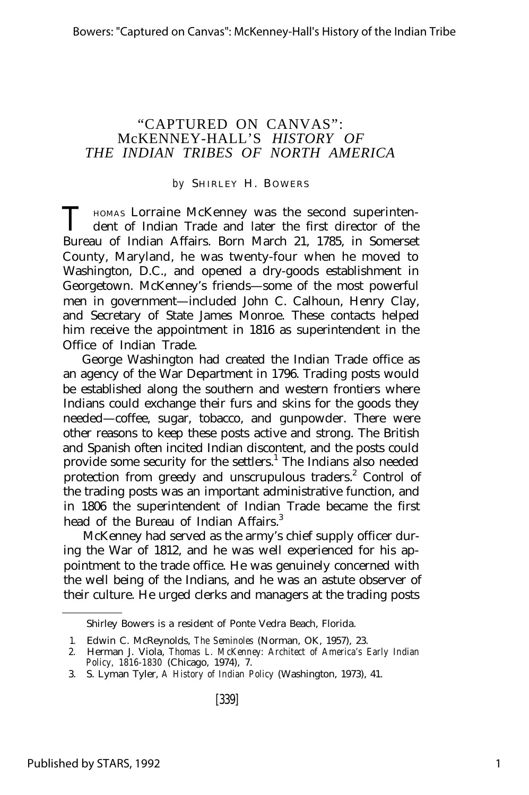#### "CAPTURED ON CANVAS": McKENNEY-HALL'S *HISTORY OF THE INDIAN TRIBES OF NORTH AMERICA*

#### by SHIRLEY H. BOWERS

T HOMAS LOTTAINE McKenney was the second superinten-<br>
dent of Indian Trade and later the first director of the dent of Indian Trade and later the first director of the Bureau of Indian Affairs. Born March 21, 1785, in Somerset County, Maryland, he was twenty-four when he moved to Washington, D.C., and opened a dry-goods establishment in Georgetown. McKenney's friends— some of the most powerful men in government— included John C. Calhoun, Henry Clay, and Secretary of State James Monroe. These contacts helped him receive the appointment in 1816 as superintendent in the Office of Indian Trade.

George Washington had created the Indian Trade office as an agency of the War Department in 1796. Trading posts would be established along the southern and western frontiers where Indians could exchange their furs and skins for the goods they needed— coffee, sugar, tobacco, and gunpowder. There were other reasons to keep these posts active and strong. The British and Spanish often incited Indian discontent, and the posts could provide some security for the settlers.<sup>1</sup> The Indians also needed protection from greedy and unscrupulous traders.<sup>2</sup> Control of the trading posts was an important administrative function, and in 1806 the superintendent of Indian Trade became the first head of the Bureau of Indian Affairs.<sup>3</sup>

McKenney had served as the army's chief supply officer during the War of 1812, and he was well experienced for his appointment to the trade office. He was genuinely concerned with the well being of the Indians, and he was an astute observer of their culture. He urged clerks and managers at the trading posts

Shirley Bowers is a resident of Ponte Vedra Beach, Florida.

<sup>1.</sup> Edwin C. McReynolds, *The Seminoles* (Norman, OK, 1957), 23.

<sup>2.</sup> Herman J. Viola, *Thomas L. McKenney: Architect of America's Early Indian Policy, 1816-1830* (Chicago, 1974), 7.

<sup>3.</sup> S. Lyman Tyler, *A History of Indian Policy* (Washington, 1973), 41.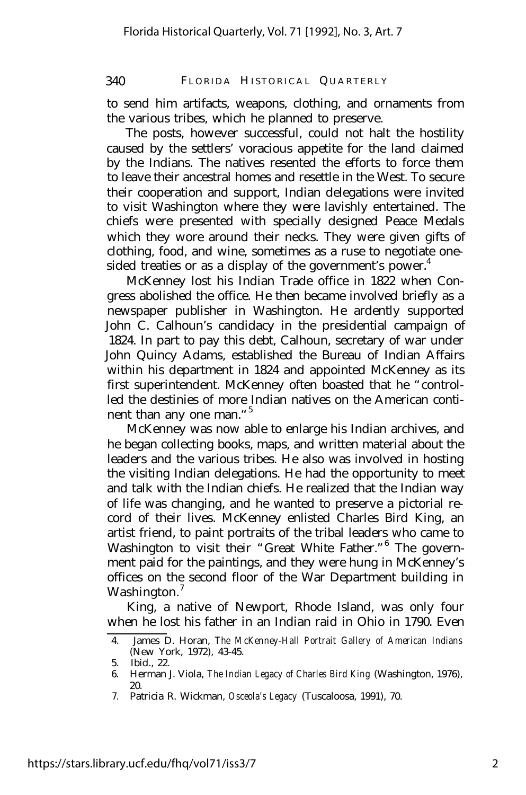#### 340 FLORIDA HISTORICAL QUARTERLY

to send him artifacts, weapons, clothing, and ornaments from the various tribes, which he planned to preserve.

The posts, however successful, could not halt the hostility caused by the settlers' voracious appetite for the land claimed by the Indians. The natives resented the efforts to force them to leave their ancestral homes and resettle in the West. To secure their cooperation and support, Indian delegations were invited to visit Washington where they were lavishly entertained. The chiefs were presented with specially designed Peace Medals which they wore around their necks. They were given gifts of clothing, food, and wine, sometimes as a ruse to negotiate onesided treaties or as a display of the government's power.<sup>4</sup>

McKenney lost his Indian Trade office in 1822 when Congress abolished the office. He then became involved briefly as a newspaper publisher in Washington. He ardently supported John C. Calhoun's candidacy in the presidential campaign of 1824. In part to pay this debt, Calhoun, secretary of war under John Quincy Adams, established the Bureau of Indian Affairs within his department in 1824 and appointed McKenney as its first superintendent. McKenney often boasted that he "controlled the destinies of more Indian natives on the American continent than any one man."<sup>5</sup>

McKenney was now able to enlarge his Indian archives, and he began collecting books, maps, and written material about the leaders and the various tribes. He also was involved in hosting the visiting Indian delegations. He had the opportunity to meet and talk with the Indian chiefs. He realized that the Indian way of life was changing, and he wanted to preserve a pictorial record of their lives. McKenney enlisted Charles Bird King, an artist friend, to paint portraits of the tribal leaders who came to Washington to visit their "Great White Father."<sup>6</sup> The government paid for the paintings, and they were hung in McKenney's offices on the second floor of the War Department building in Washington.<sup>7</sup>

King, a native of Newport, Rhode Island, was only four when he lost his father in an Indian raid in Ohio in 1790. Even

<sup>4.</sup> James D. Horan, *The McKenney-Hall Portrait Gallery of American Indians* (New York, 1972), 43-45.

<sup>5.</sup> Ibid., 22.

<sup>6.</sup> Herman J. Viola, *The Indian Legacy of Charles Bird King* (Washington, 1976), 20.

<sup>7.</sup> Patricia R. Wickman, *Osceola's Legacy* (Tuscaloosa, 1991), 70.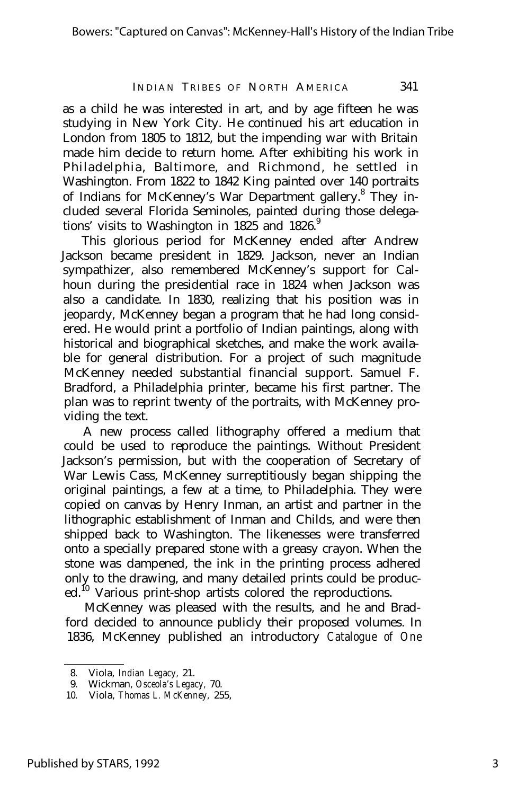#### INDIAN TRIBES OF NORTH AMERICA 341

as a child he was interested in art, and by age fifteen he was studying in New York City. He continued his art education in London from 1805 to 1812, but the impending war with Britain made him decide to return home. After exhibiting his work in Philadelphia, Baltimore, and Richmond, he settled in Washington. From 1822 to 1842 King painted over 140 portraits of Indians for McKenney's War Department gallery.<sup>8</sup> They included several Florida Seminoles, painted during those delegations' visits to Washington in 1825 and 1826. $9$ 

This glorious period for McKenney ended after Andrew Jackson became president in 1829. Jackson, never an Indian sympathizer, also remembered McKenney's support for Calhoun during the presidential race in 1824 when Jackson was also a candidate. In 1830, realizing that his position was in jeopardy, McKenney began a program that he had long considered. He would print a portfolio of Indian paintings, along with historical and biographical sketches, and make the work available for general distribution. For a project of such magnitude McKenney needed substantial financial support. Samuel F. Bradford, a Philadelphia printer, became his first partner. The plan was to reprint twenty of the portraits, with McKenney providing the text.

A new process called lithography offered a medium that could be used to reproduce the paintings. Without President Jackson's permission, but with the cooperation of Secretary of War Lewis Cass, McKenney surreptitiously began shipping the original paintings, a few at a time, to Philadelphia. They were copied on canvas by Henry Inman, an artist and partner in the lithographic establishment of Inman and Childs, and were then shipped back to Washington. The likenesses were transferred onto a specially prepared stone with a greasy crayon. When the stone was dampened, the ink in the printing process adhered only to the drawing, and many detailed prints could be produced.<sup>10</sup> Various print-shop artists colored the reproductions.

McKenney was pleased with the results, and he and Bradford decided to announce publicly their proposed volumes. In 1836, McKenney published an introductory *Catalogue of One*

<sup>8.</sup> Viola, *Indian Legacy,* 21.

<sup>9.</sup> Wickman, *Osceola's Legacy,* 70.

<sup>10.</sup> Viola, *Thomas L. McKenney,* 255,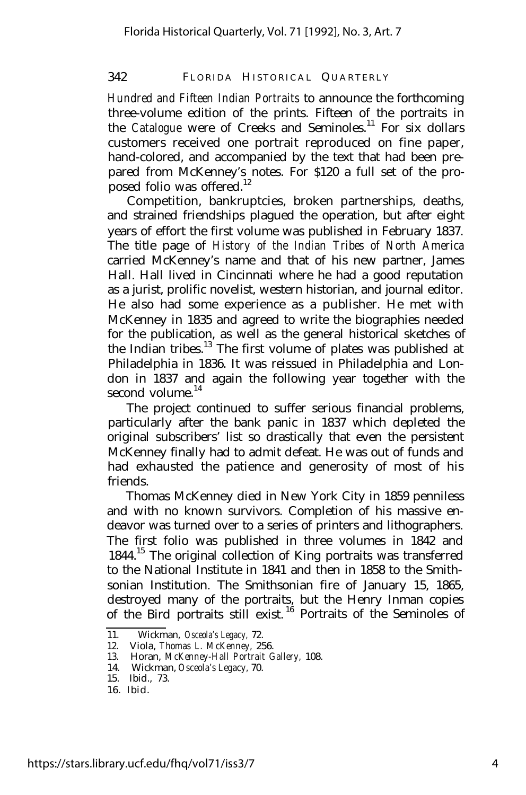#### 342 FLORIDA HISTORICAL QUARTERLY

*Hundred and Fifteen Indian Portraits* to announce the forthcoming three-volume edition of the prints. Fifteen of the portraits in the *Catalogue* were of Creeks and Seminoles.<sup>11</sup> For six dollars customers received one portrait reproduced on fine paper, hand-colored, and accompanied by the text that had been prepared from McKenney's notes. For \$120 a full set of the proposed folio was offered.<sup>12</sup>

Competition, bankruptcies, broken partnerships, deaths, and strained friendships plagued the operation, but after eight years of effort the first volume was published in February 1837. The title page of *History of the Indian Tribes of North America* carried McKenney's name and that of his new partner, James Hall. Hall lived in Cincinnati where he had a good reputation as a jurist, prolific novelist, western historian, and journal editor. He also had some experience as a publisher. He met with McKenney in 1835 and agreed to write the biographies needed for the publication, as well as the general historical sketches of the Indian tribes.<sup>13</sup> The first volume of plates was published at Philadelphia in 1836. It was reissued in Philadelphia and London in 1837 and again the following year together with the second volume.<sup>14</sup>

The project continued to suffer serious financial problems, particularly after the bank panic in 1837 which depleted the original subscribers' list so drastically that even the persistent McKenney finally had to admit defeat. He was out of funds and had exhausted the patience and generosity of most of his friends.

Thomas McKenney died in New York City in 1859 penniless and with no known survivors. Completion of his massive endeavor was turned over to a series of printers and lithographers. The first folio was published in three volumes in 1842 and 1844.<sup>15</sup> The original collection of King portraits was transferred to the National Institute in 1841 and then in 1858 to the Smithsonian Institution. The Smithsonian fire of January 15, 1865, destroyed many of the portraits, but the Henry Inman copies of the Bird portraits still exist.<sup>16</sup> Portraits of the Seminoles of

<sup>11.</sup> Wickman, *Osceola's Legacy,* 72.

<sup>12.</sup> Viola, *Thomas L. McKenney,* 256.

<sup>13.</sup> Horan, *McKenney-Hall Portrait Gallery,* 108.

<sup>14.</sup> Wickman, *Osceola's Legacy,* 70.

<sup>15.</sup> Ibid., 73.

<sup>16.</sup> Ibid.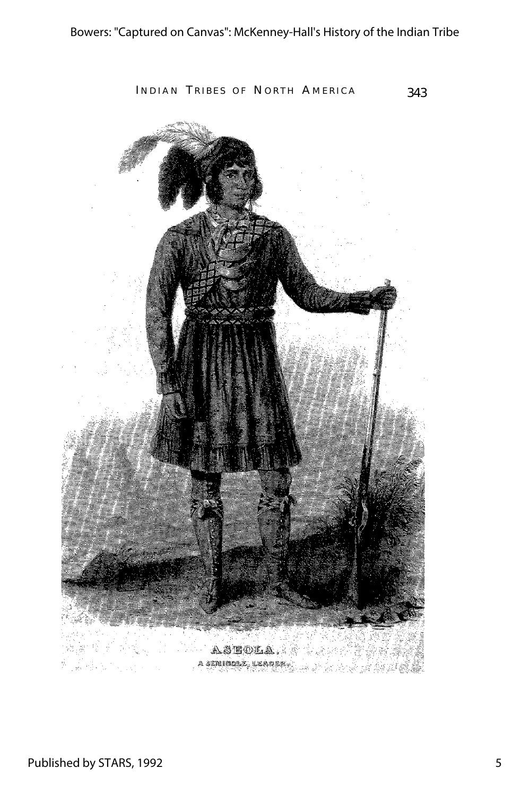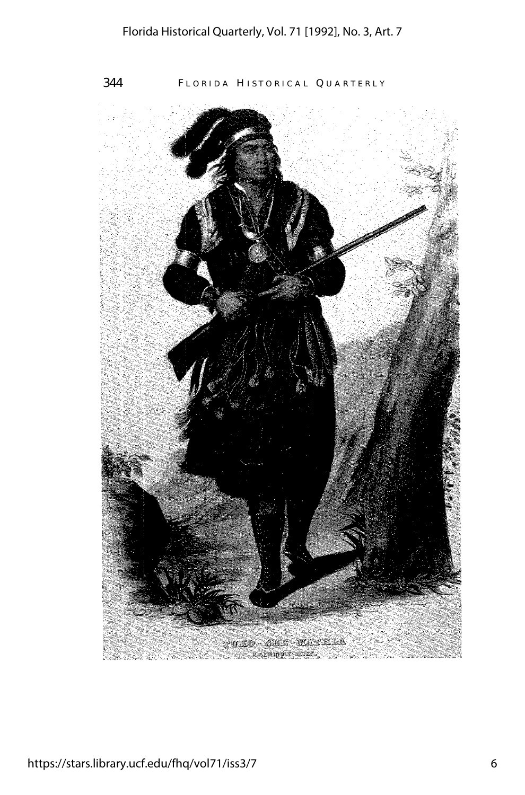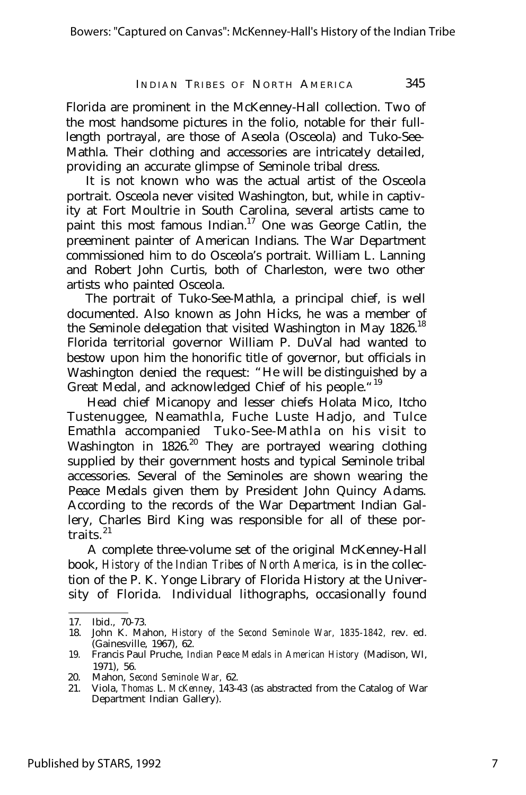#### INDIAN TRIBES OF NORTH AMERICA 345

Florida are prominent in the McKenney-Hall collection. Two of the most handsome pictures in the folio, notable for their fulllength portrayal, are those of Aseola (Osceola) and Tuko-See-Mathla. Their clothing and accessories are intricately detailed, providing an accurate glimpse of Seminole tribal dress.

It is not known who was the actual artist of the Osceola portrait. Osceola never visited Washington, but, while in captivity at Fort Moultrie in South Carolina, several artists came to paint this most famous Indian.<sup>17</sup> One was George Catlin, the preeminent painter of American Indians. The War Department commissioned him to do Osceola's portrait. William L. Lanning and Robert John Curtis, both of Charleston, were two other artists who painted Osceola.

The portrait of Tuko-See-Mathla, a principal chief, is well documented. Also known as John Hicks, he was a member of the Seminole delegation that visited Washington in May 1826.<sup>18</sup> Florida territorial governor William P. DuVal had wanted to bestow upon him the honorific title of governor, but officials in Washington denied the request: "He will be distinguished by a Great Medal, and acknowledged Chief of his people."<sup>19</sup>

Head chief Micanopy and lesser chiefs Holata Mico, Itcho Tustenuggee, Neamathla, Fuche Luste Hadjo, and Tulce Emathla accompanied Tuko-See-Mathla on his visit to Washington in 1826.<sup>20</sup> They are portrayed wearing clothing supplied by their government hosts and typical Seminole tribal accessories. Several of the Seminoles are shown wearing the Peace Medals given them by President John Quincy Adams. According to the records of the War Department Indian Gallery, Charles Bird King was responsible for all of these portraits. <sup>21</sup>

A complete three-volume set of the original McKenney-Hall book, *History of the Indian Tribes of North America,* is in the collection of the P. K. Yonge Library of Florida History at the University of Florida. Individual lithographs, occasionally found

<sup>17.</sup> Ibid., 70-73.

<sup>18.</sup> John K. Mahon, *History of the Second Seminole War, 1835-1842,* rev. ed. (Gainesville, 1967), 62.

<sup>19.</sup> Francis Paul Pruche, *Indian Peace Medals in American History* (Madison, WI, 1971), 56.

<sup>20.</sup> Mahon, *Second Seminole War,* 62.

<sup>21.</sup> Viola, *Thomas* L. *McKenney,* 143-43 (as abstracted from the Catalog of War Department Indian Gallery).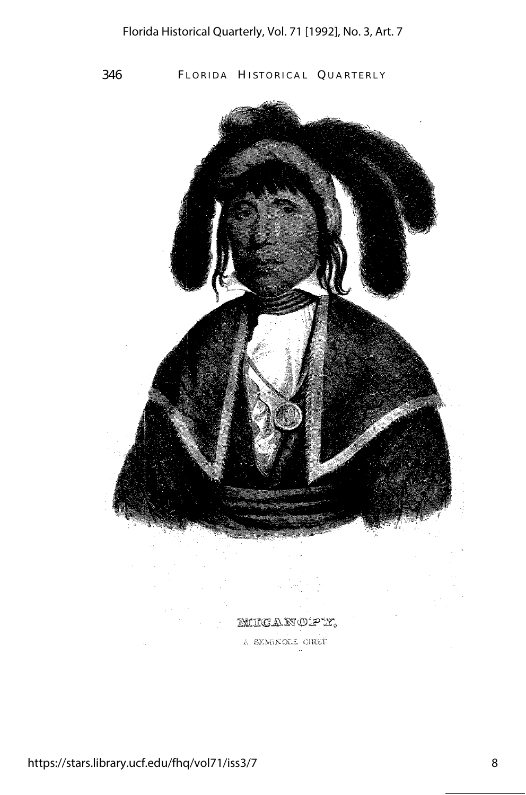346 FLORIDA HISTORICAL QUARTERLY

MUCANOPY.

A SEMINOLE CHIEF.